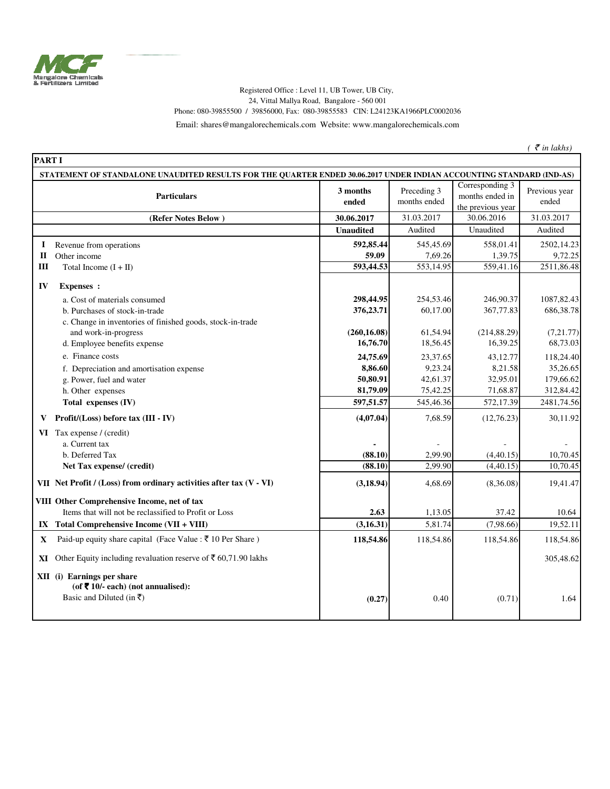

## Registered Office : Level 11, UB Tower, UB City, 24, Vittal Mallya Road, Bangalore - 560 001 Phone: 080-39855500 / 39856000, Fax: 080-39855583 CIN: L24123KA1966PLC0002036

Email: shares@mangalorechemicals.com Website: www.mangalorechemicals.com

 $($   $\bar{\mathcal{E}}$  *in lakhs*)

| <b>PART I</b>                                                                                                        |                                                                                                                                                                                              |                                                                                      |                                                                                  |                                                                                      |                                                                                        |
|----------------------------------------------------------------------------------------------------------------------|----------------------------------------------------------------------------------------------------------------------------------------------------------------------------------------------|--------------------------------------------------------------------------------------|----------------------------------------------------------------------------------|--------------------------------------------------------------------------------------|----------------------------------------------------------------------------------------|
| STATEMENT OF STANDALONE UNAUDITED RESULTS FOR THE QUARTER ENDED 30.06.2017 UNDER INDIAN ACCOUNTING STANDARD (IND-AS) |                                                                                                                                                                                              |                                                                                      |                                                                                  |                                                                                      |                                                                                        |
|                                                                                                                      | <b>Particulars</b>                                                                                                                                                                           | 3 months<br>ended                                                                    | Preceding 3<br>months ended                                                      | Corresponding 3<br>months ended in<br>the previous year                              | Previous year<br>ended                                                                 |
|                                                                                                                      | (Refer Notes Below)                                                                                                                                                                          | 30.06.2017                                                                           | 31.03.2017                                                                       | 30.06.2016                                                                           | 31.03.2017                                                                             |
|                                                                                                                      |                                                                                                                                                                                              | <b>Unaudited</b>                                                                     | Audited                                                                          | Unaudited                                                                            | Audited                                                                                |
| Ι.<br>П<br>Ш                                                                                                         | Revenue from operations<br>Other income<br>Total Income $(I + II)$                                                                                                                           | 592,85.44<br>59.09<br>593,44.53                                                      | 545,45.69<br>7,69.26<br>553,14.95                                                | 558,01.41<br>1,39.75<br>559,41.16                                                    | 2502,14.23<br>9,72.25<br>2511,86.48                                                    |
| IV                                                                                                                   | <b>Expenses</b> :<br>a. Cost of materials consumed<br>b. Purchases of stock-in-trade<br>c. Change in inventories of finished goods, stock-in-trade                                           | 298,44.95<br>376,23.71                                                               | 254,53.46<br>60,17.00                                                            | 246,90.37<br>367,77.83                                                               | 1087, 82.43<br>686, 38.78                                                              |
|                                                                                                                      | and work-in-progress<br>d. Employee benefits expense<br>e. Finance costs<br>f. Depreciation and amortisation expense<br>g. Power, fuel and water<br>h. Other expenses<br>Total expenses (IV) | (260, 16.08)<br>16,76.70<br>24,75.69<br>8,86.60<br>50,80.91<br>81,79.09<br>597,51.57 | 61,54.94<br>18,56.45<br>23,37.65<br>9,23.24<br>42,61.37<br>75,42.25<br>545,46.36 | (214, 88.29)<br>16,39.25<br>43,12.77<br>8,21.58<br>32,95.01<br>71,68.87<br>572,17.39 | (7,21.77)<br>68,73.03<br>118,24.40<br>35,26.65<br>179,66.62<br>312,84.42<br>2481,74.56 |
| V                                                                                                                    | Profit/(Loss) before tax (III - IV)                                                                                                                                                          | (4,07.04)                                                                            | 7,68.59                                                                          | (12,76.23)                                                                           | 30,11.92                                                                               |
|                                                                                                                      | VI Tax expense / (credit)<br>a. Current tax<br>b. Deferred Tax<br>Net Tax expense/ (credit)                                                                                                  | (88.10)<br>(88.10)                                                                   | 2,99.90<br>2,99.90                                                               | (4, 40.15)<br>(4,40.15)                                                              | 10,70.45<br>10,70.45                                                                   |
|                                                                                                                      | VII Net Profit / (Loss) from ordinary activities after tax (V - VI)<br>VIII Other Comprehensive Income, net of tax<br>Items that will not be reclassified to Profit or Loss                  | (3, 18.94)<br>2.63                                                                   | 4,68.69<br>1,13.05                                                               | (8,36.08)<br>37.42                                                                   | 19,41.47<br>10.64                                                                      |
|                                                                                                                      | IX Total Comprehensive Income $(VII + VIII)$                                                                                                                                                 | (3, 16.31)                                                                           | 5,81.74                                                                          | (7,98.66)                                                                            | 19,52.11                                                                               |
| X                                                                                                                    | Paid-up equity share capital (Face Value : ₹ 10 Per Share)                                                                                                                                   | 118,54.86                                                                            | 118,54.86                                                                        | 118,54.86                                                                            | 118,54.86                                                                              |
| XI.                                                                                                                  | Other Equity including revaluation reserve of ₹ 60,71.90 lakhs<br>XII (i) Earnings per share<br>(of ₹ 10/- each) (not annualised):<br>Basic and Diluted (in ₹)                               | (0.27)                                                                               | 0.40                                                                             | (0.71)                                                                               | 305,48.62<br>1.64                                                                      |